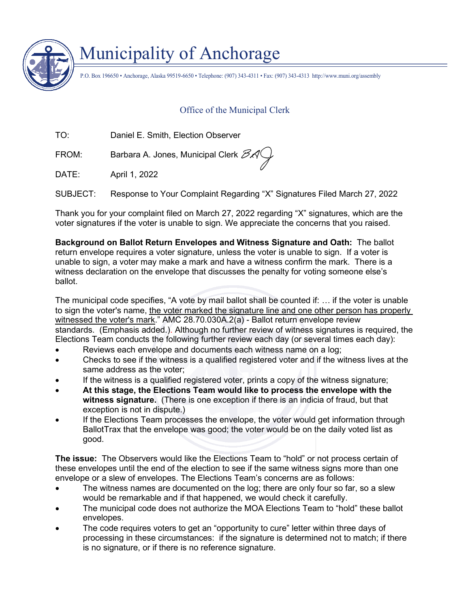

## Municipality of Anchorage

P.O. Box 196650 • Anchorage, Alaska 99519-6650 • Telephone: (907) 343-4311 • Fax: (907) 343-4313 http://www.muni.org/assembly

## Office of the Municipal Clerk

TO: Daniel E. Smith, Election Observer

FROM: Barbara A. Jones, Municipal Clerk  $\mathcal{BA}$ 

DATE: April 1, 2022

SUBJECT: Response to Your Complaint Regarding "X" Signatures Filed March 27, 2022

Thank you for your complaint filed on March 27, 2022 regarding "X" signatures, which are the voter signatures if the voter is unable to sign. We appreciate the concerns that you raised.

**Background on Ballot Return Envelopes and Witness Signature and Oath:** The ballot return envelope requires a voter signature, unless the voter is unable to sign. If a voter is unable to sign, a voter may make a mark and have a witness confirm the mark. There is a witness declaration on the envelope that discusses the penalty for voting someone else's ballot.

The municipal code specifies, "A vote by mail ballot shall be counted if: … if the voter is unable to sign the voter's name, the voter marked the signature line and one other person has properly witnessed the voter's mark." AMC 28.70.030A.2(a) - Ballot return envelope review standards. (Emphasis added.). Although no further review of witness signatures is required, the Elections Team conducts the following further review each day (or several times each day):

- Reviews each envelope and documents each witness name on a log;
- Checks to see if the witness is a qualified registered voter and if the witness lives at the same address as the voter;
- If the witness is a qualified registered voter, prints a copy of the witness signature;
- **At this stage, the Elections Team would like to process the envelope with the witness signature.** (There is one exception if there is an indicia of fraud, but that exception is not in dispute.)
- If the Elections Team processes the envelope, the voter would get information through BallotTrax that the envelope was good; the voter would be on the daily voted list as good.

**The issue:** The Observers would like the Elections Team to "hold" or not process certain of these envelopes until the end of the election to see if the same witness signs more than one envelope or a slew of envelopes. The Elections Team's concerns are as follows:

- The witness names are documented on the log; there are only four so far, so a slew would be remarkable and if that happened, we would check it carefully.
- The municipal code does not authorize the MOA Elections Team to "hold" these ballot envelopes.
- The code requires voters to get an "opportunity to cure" letter within three days of processing in these circumstances: if the signature is determined not to match; if there is no signature, or if there is no reference signature.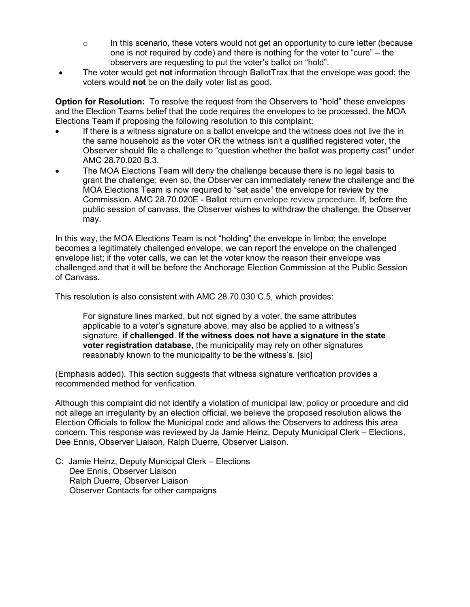- $\circ$  In this scenario, these voters would not get an opportunity to cure letter (because one is not required by code) and there is nothing for the voter to "cure" – the observers are requesting to put the voter's ballot on "hold".
- The voter would get **not** information through BallotTrax that the envelope was good; the voters would **not** be on the daily voter list as good.

**Option for Resolution:** To resolve the request from the Observers to "hold" these envelopes and the Election Teams belief that the code requires the envelopes to be processed, the MOA Elections Team if proposing the following resolution to this complaint:

- If there is a witness signature on a ballot envelope and the witness does not live the in the same household as the voter OR the witness isn't a qualified registered voter, the Observer should file a challenge to "question whether the ballot was property cast" under AMC 28.70.020 B.3.
- The MOA Elections Team will deny the challenge because there is no legal basis to grant the challenge; even so, the Observer can immediately renew the challenge and the MOA Elections Team is now required to "set aside" the envelope for review by the Commission. AMC 28.70.020E - Ballot return envelope review procedure. If, before the public session of canvass, the Observer wishes to withdraw the challenge, the Observer may.

In this way, the MOA Elections Team is not "holding" the envelope in limbo; the envelope becomes a legitimately challenged envelope; we can report the envelope on the challenged envelope list; if the voter calls, we can let the voter know the reason their envelope was challenged and that it will be before the Anchorage Election Commission at the Public Session of Canvass.

This resolution is also consistent with AMC 28.70.030 C.5, which provides:

For signature lines marked, but not signed by a voter, the same attributes applicable to a voter's signature above, may also be applied to a witness's signature, **if challenged**. **If the witness does not have a signature in the state voter registration database**, the municipality may rely on other signatures reasonably known to the municipality to be the witness's. [sic]

(Emphasis added). This section suggests that witness signature verification provides a recommended method for verification.

Although this complaint did not identify a violation of municipal law, policy or procedure and did not allege an irregularity by an election official, we believe the proposed resolution allows the Election Officials to follow the Municipal code and allows the Observers to address this area concern. This response was reviewed by Ja Jamie Heinz, Deputy Municipal Clerk – Elections, Dee Ennis, Observer Liaison, Ralph Duerre, Observer Liaison.

C: Jamie Heinz, Deputy Municipal Clerk – Elections Dee Ennis, Observer Liaison Ralph Duerre, Observer Liaison Observer Contacts for other campaigns